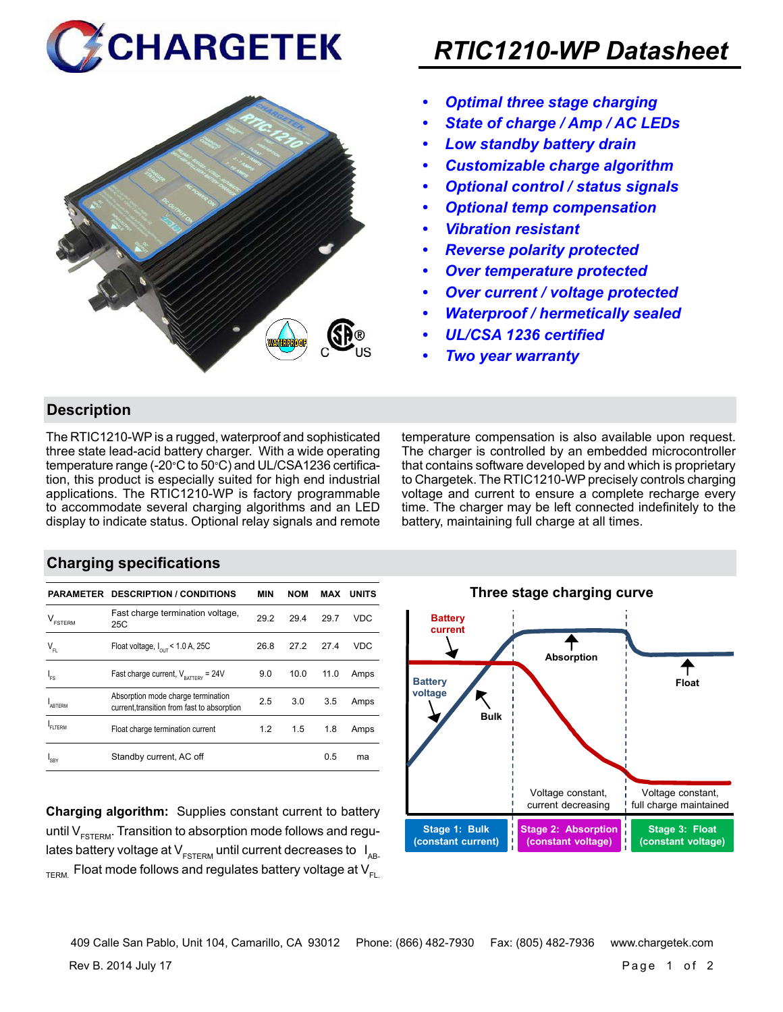



# *RTIC1210-WP Datasheet*

- *• Optimal three stage charging*
- *• State of charge / Amp / AC LEDs*
- *• Low standby battery drain*
- *• Customizable charge algorithm*
- *• Optional control / status signals*
- *• Optional temp compensation*
- *• Vibration resistant*
- *• Reverse polarity protected*
- *• Over temperature protected*
- *• Over current / voltage protected*
- *• Waterproof / hermetically sealed*
- *• UL/CSA 1236 certified*
- *• Two year warranty*

### **Description**

The RTIC1210-WP is a rugged, waterproof and sophisticated three state lead-acid battery charger. With a wide operating temperature range (-20°C to 50°C) and UL/CSA1236 certification, this product is especially suited for high end industrial applications. The RTIC1210-WP is factory programmable to accommodate several charging algorithms and an LED display to indicate status. Optional relay signals and remote temperature compensation is also available upon request. The charger is controlled by an embedded microcontroller that contains software developed by and which is proprietary to Chargetek. The RTIC1210-WP precisely controls charging voltage and current to ensure a complete recharge every time. The charger may be left connected indefinitely to the battery, maintaining full charge at all times.

#### **Charging specifications**

|                                      | <b>PARAMETER DESCRIPTION / CONDITIONS</b>                                         | <b>MIN</b> | <b>NOM</b> | MAX  | <b>UNITS</b> |
|--------------------------------------|-----------------------------------------------------------------------------------|------------|------------|------|--------------|
| $\mathsf{V}_{\texttt{\tiny FSTERN}}$ | Fast charge termination voltage,<br>25C                                           | 29.2       | 29.4       | 29.7 | VDC          |
| $\mathsf{V}_{\mathsf{FL}}$           | Float voltage, $I_{\text{out}}$ < 1.0 A, 25C                                      | 26.8       | 27.2       | 27.4 | <b>VDC</b>   |
| ı.                                   | Fast charge current, $V_{\text{partrev}} = 24V$                                   | 9.0        | 10.0       | 11.0 | Amps         |
| <b>ARTERM</b>                        | Absorption mode charge termination<br>current, transition from fast to absorption | 2.5        | 3.0        | 3.5  | Amps         |
| <b>FITERM</b>                        | Float charge termination current                                                  | 1.2        | 1.5        | 1.8  | Amps         |
| <b>SRY</b>                           | Standby current, AC off                                                           |            |            | 0.5  | ma           |

**Charging algorithm:** Supplies constant current to battery until  $V_{ESTFRM}$ . Transition to absorption mode follows and regulates battery voltage at  $V_{ESTERM}$  until current decreases to  $I_{AR}$  $T_{\text{ERM}}$  Float mode follows and regulates battery voltage at  $V_{\text{F1}}$ 



Rev B. 2014 July 17 Page 1 of 2 409 Calle San Pablo, Unit 104, Camarillo, CA 93012 Phone: (866) 482-7930 Fax: (805) 482-7936 www.chargetek.com